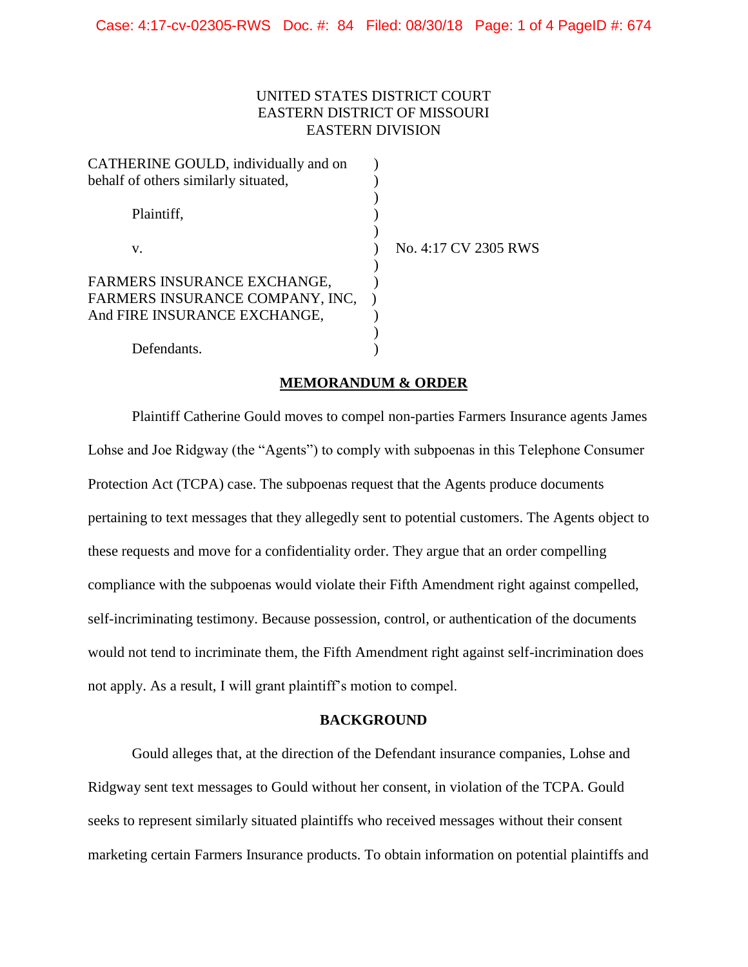# UNITED STATES DISTRICT COURT EASTERN DISTRICT OF MISSOURI EASTERN DIVISION

| CATHERINE GOULD, individually and on |                      |
|--------------------------------------|----------------------|
| behalf of others similarly situated, |                      |
| Plaintiff,                           |                      |
| v.                                   | No. 4:17 CV 2305 RWS |
| FARMERS INSURANCE EXCHANGE,          |                      |
| FARMERS INSURANCE COMPANY, INC.      |                      |
| And FIRE INSURANCE EXCHANGE,         |                      |
|                                      |                      |
| Defendants.                          |                      |

## **MEMORANDUM & ORDER**

Plaintiff Catherine Gould moves to compel non-parties Farmers Insurance agents James Lohse and Joe Ridgway (the "Agents") to comply with subpoenas in this Telephone Consumer Protection Act (TCPA) case. The subpoenas request that the Agents produce documents pertaining to text messages that they allegedly sent to potential customers. The Agents object to these requests and move for a confidentiality order. They argue that an order compelling compliance with the subpoenas would violate their Fifth Amendment right against compelled, self-incriminating testimony. Because possession, control, or authentication of the documents would not tend to incriminate them, the Fifth Amendment right against self-incrimination does not apply. As a result, I will grant plaintiff's motion to compel.

## **BACKGROUND**

Gould alleges that, at the direction of the Defendant insurance companies, Lohse and Ridgway sent text messages to Gould without her consent, in violation of the TCPA. Gould seeks to represent similarly situated plaintiffs who received messages without their consent marketing certain Farmers Insurance products. To obtain information on potential plaintiffs and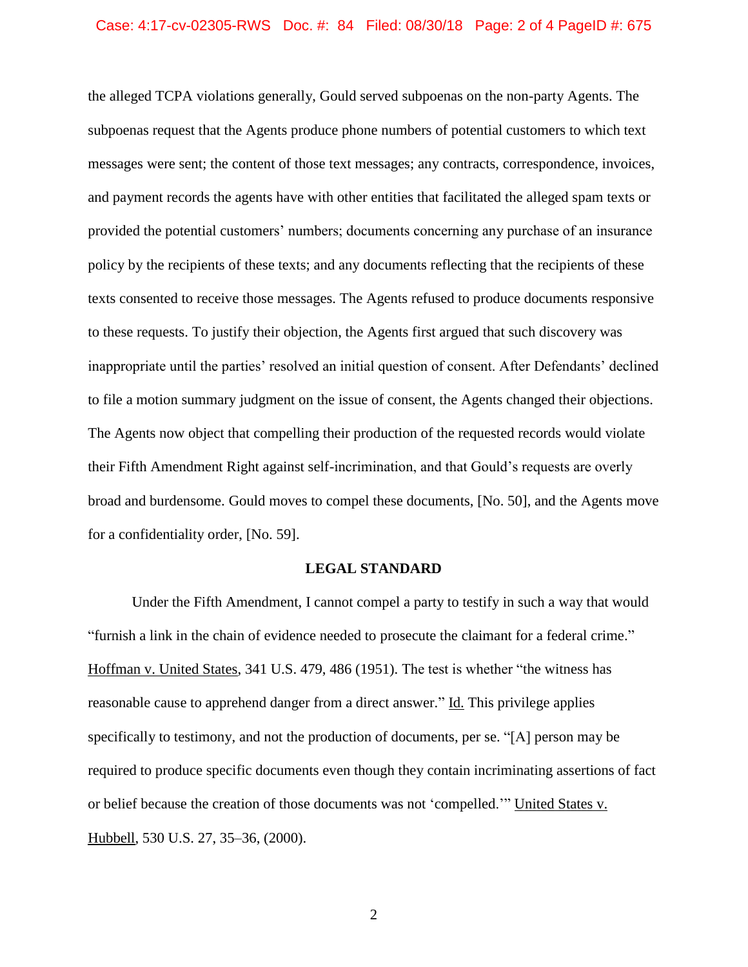#### Case: 4:17-cv-02305-RWS Doc. #: 84 Filed: 08/30/18 Page: 2 of 4 PageID #: 675

the alleged TCPA violations generally, Gould served subpoenas on the non-party Agents. The subpoenas request that the Agents produce phone numbers of potential customers to which text messages were sent; the content of those text messages; any contracts, correspondence, invoices, and payment records the agents have with other entities that facilitated the alleged spam texts or provided the potential customers' numbers; documents concerning any purchase of an insurance policy by the recipients of these texts; and any documents reflecting that the recipients of these texts consented to receive those messages. The Agents refused to produce documents responsive to these requests. To justify their objection, the Agents first argued that such discovery was inappropriate until the parties' resolved an initial question of consent. After Defendants' declined to file a motion summary judgment on the issue of consent, the Agents changed their objections. The Agents now object that compelling their production of the requested records would violate their Fifth Amendment Right against self-incrimination, and that Gould's requests are overly broad and burdensome. Gould moves to compel these documents, [No. 50], and the Agents move for a confidentiality order, [No. 59].

### **LEGAL STANDARD**

Under the Fifth Amendment, I cannot compel a party to testify in such a way that would "furnish a link in the chain of evidence needed to prosecute the claimant for a federal crime." Hoffman v. United States, 341 U.S. 479, 486 (1951). The test is whether "the witness has reasonable cause to apprehend danger from a direct answer." Id. This privilege applies specifically to testimony, and not the production of documents, per se. "[A] person may be required to produce specific documents even though they contain incriminating assertions of fact or belief because the creation of those documents was not 'compelled.'" United States v. Hubbell, 530 U.S. 27, 35–36, (2000).

2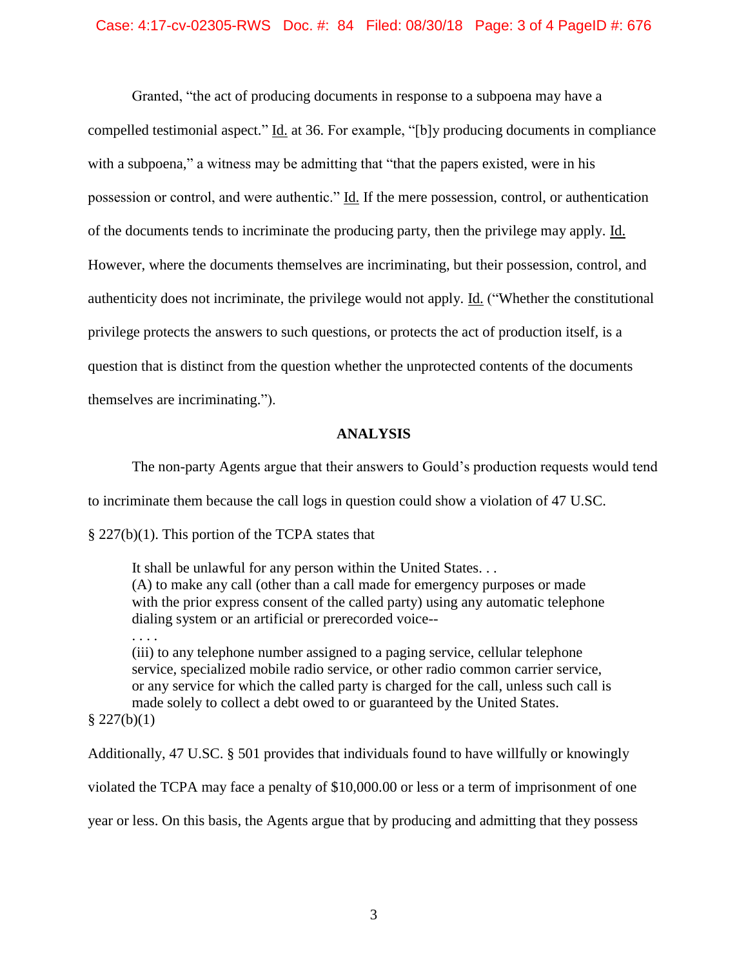Granted, "the act of producing documents in response to a subpoena may have a compelled testimonial aspect." Id. at 36. For example, "[b]y producing documents in compliance with a subpoena," a witness may be admitting that "that the papers existed, were in his possession or control, and were authentic." Id. If the mere possession, control, or authentication of the documents tends to incriminate the producing party, then the privilege may apply. Id. However, where the documents themselves are incriminating, but their possession, control, and authenticity does not incriminate, the privilege would not apply. Id. ("Whether the constitutional privilege protects the answers to such questions, or protects the act of production itself, is a question that is distinct from the question whether the unprotected contents of the documents themselves are incriminating.").

## **ANALYSIS**

The non-party Agents argue that their answers to Gould's production requests would tend

to incriminate them because the call logs in question could show a violation of 47 U.SC.

§ 227(b)(1). This portion of the TCPA states that

It shall be unlawful for any person within the United States. . . (A) to make any call (other than a call made for emergency purposes or made with the prior express consent of the called party) using any automatic telephone dialing system or an artificial or prerecorded voice--

. . . .

(iii) to any telephone number assigned to a paging service, cellular telephone service, specialized mobile radio service, or other radio common carrier service, or any service for which the called party is charged for the call, unless such call is made solely to collect a debt owed to or guaranteed by the United States.  $$227(b)(1)$ 

Additionally, 47 U.SC. § 501 provides that individuals found to have willfully or knowingly violated the TCPA may face a penalty of \$10,000.00 or less or a term of imprisonment of one year or less. On this basis, the Agents argue that by producing and admitting that they possess